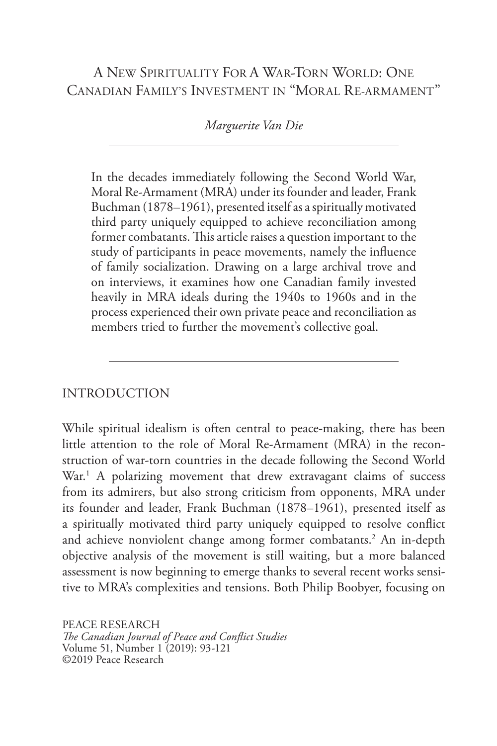# A NEW SPIRITUALITY FOR A WAR-TORN WORLD: ONE CANADIAN FAMILY'S INVESTMENT IN "MORAL RE-ARMAMENT"

### *Marguerite Van Die*

In the decades immediately following the Second World War, Moral Re-Armament (MRA) under its founder and leader, Frank Buchman (1878–1961), presented itself as a spiritually motivated third party uniquely equipped to achieve reconciliation among former combatants. This article raises a question important to the study of participants in peace movements, namely the influence of family socialization. Drawing on a large archival trove and on interviews, it examines how one Canadian family invested heavily in MRA ideals during the 1940s to 1960s and in the process experienced their own private peace and reconciliation as members tried to further the movement's collective goal.

### INTRODUCTION

While spiritual idealism is often central to peace-making, there has been little attention to the role of Moral Re-Armament (MRA) in the reconstruction of war-torn countries in the decade following the Second World War.<sup>1</sup> A polarizing movement that drew extravagant claims of success from its admirers, but also strong criticism from opponents, MRA under its founder and leader, Frank Buchman (1878–1961), presented itself as a spiritually motivated third party uniquely equipped to resolve conflict and achieve nonviolent change among former combatants.<sup>2</sup> An in-depth objective analysis of the movement is still waiting, but a more balanced assessment is now beginning to emerge thanks to several recent works sensitive to MRA's complexities and tensions. Both Philip Boobyer, focusing on

PEACE RESEARCH *The Canadian Journal of Peace and Conflict Studies* Volume 51, Number 1 (2019): 93-121 ©2019 Peace Research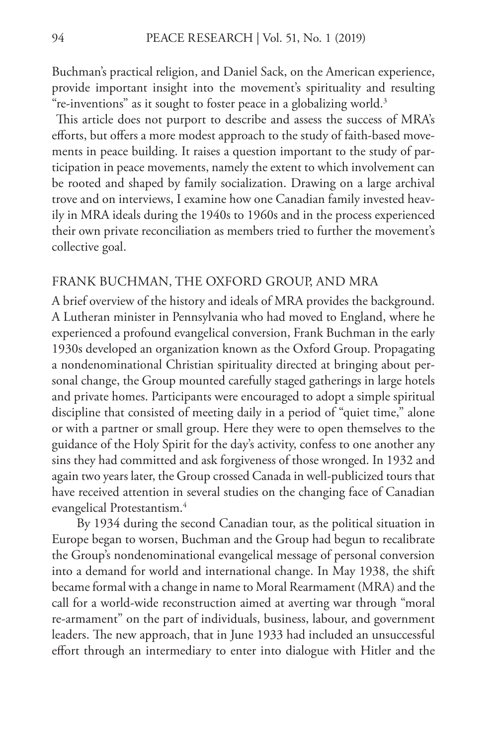Buchman's practical religion, and Daniel Sack, on the American experience, provide important insight into the movement's spirituality and resulting "re-inventions" as it sought to foster peace in a globalizing world.<sup>3</sup>

 This article does not purport to describe and assess the success of MRA's efforts, but offers a more modest approach to the study of faith-based movements in peace building. It raises a question important to the study of participation in peace movements, namely the extent to which involvement can be rooted and shaped by family socialization. Drawing on a large archival trove and on interviews, I examine how one Canadian family invested heavily in MRA ideals during the 1940s to 1960s and in the process experienced their own private reconciliation as members tried to further the movement's collective goal.

#### FRANK BUCHMAN, THE OXFORD GROUP, AND MRA

A brief overview of the history and ideals of MRA provides the background. A Lutheran minister in Pennsylvania who had moved to England, where he experienced a profound evangelical conversion, Frank Buchman in the early 1930s developed an organization known as the Oxford Group. Propagating a nondenominational Christian spirituality directed at bringing about personal change, the Group mounted carefully staged gatherings in large hotels and private homes. Participants were encouraged to adopt a simple spiritual discipline that consisted of meeting daily in a period of "quiet time," alone or with a partner or small group. Here they were to open themselves to the guidance of the Holy Spirit for the day's activity, confess to one another any sins they had committed and ask forgiveness of those wronged. In 1932 and again two years later, the Group crossed Canada in well-publicized tours that have received attention in several studies on the changing face of Canadian evangelical Protestantism.4

By 1934 during the second Canadian tour, as the political situation in Europe began to worsen, Buchman and the Group had begun to recalibrate the Group's nondenominational evangelical message of personal conversion into a demand for world and international change. In May 1938, the shift became formal with a change in name to Moral Rearmament (MRA) and the call for a world-wide reconstruction aimed at averting war through "moral re-armament" on the part of individuals, business, labour, and government leaders. The new approach, that in June 1933 had included an unsuccessful effort through an intermediary to enter into dialogue with Hitler and the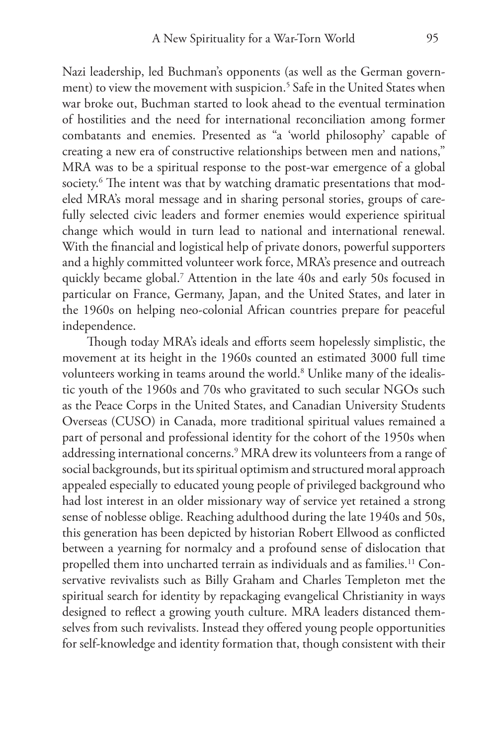Nazi leadership, led Buchman's opponents (as well as the German government) to view the movement with suspicion.<sup>5</sup> Safe in the United States when war broke out, Buchman started to look ahead to the eventual termination of hostilities and the need for international reconciliation among former combatants and enemies. Presented as "a 'world philosophy' capable of creating a new era of constructive relationships between men and nations," MRA was to be a spiritual response to the post-war emergence of a global society. $^6$  The intent was that by watching dramatic presentations that modeled MRA's moral message and in sharing personal stories, groups of carefully selected civic leaders and former enemies would experience spiritual change which would in turn lead to national and international renewal. With the financial and logistical help of private donors, powerful supporters and a highly committed volunteer work force, MRA's presence and outreach quickly became global.7 Attention in the late 40s and early 50s focused in particular on France, Germany, Japan, and the United States, and later in the 1960s on helping neo-colonial African countries prepare for peaceful independence.

Though today MRA's ideals and efforts seem hopelessly simplistic, the movement at its height in the 1960s counted an estimated 3000 full time volunteers working in teams around the world.8 Unlike many of the idealistic youth of the 1960s and 70s who gravitated to such secular NGOs such as the Peace Corps in the United States, and Canadian University Students Overseas (CUSO) in Canada, more traditional spiritual values remained a part of personal and professional identity for the cohort of the 1950s when addressing international concerns.9 MRA drew its volunteers from a range of social backgrounds, but its spiritual optimism and structured moral approach appealed especially to educated young people of privileged background who had lost interest in an older missionary way of service yet retained a strong sense of noblesse oblige. Reaching adulthood during the late 1940s and 50s, this generation has been depicted by historian Robert Ellwood as conflicted between a yearning for normalcy and a profound sense of dislocation that propelled them into uncharted terrain as individuals and as families.<sup>11</sup> Conservative revivalists such as Billy Graham and Charles Templeton met the spiritual search for identity by repackaging evangelical Christianity in ways designed to reflect a growing youth culture. MRA leaders distanced themselves from such revivalists. Instead they offered young people opportunities for self-knowledge and identity formation that, though consistent with their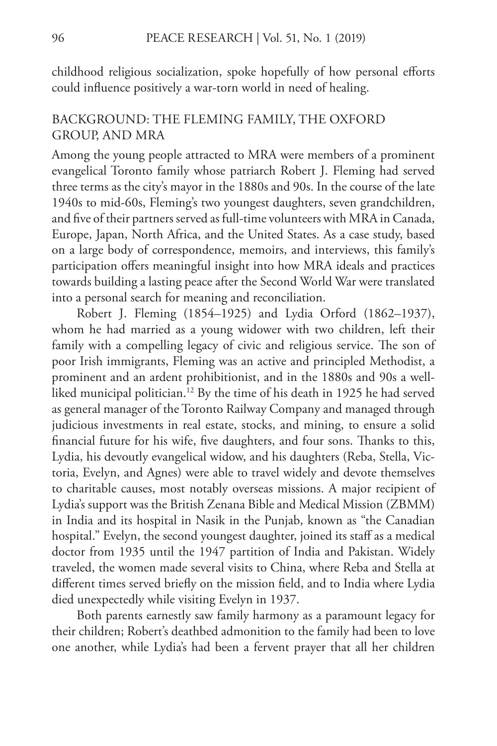childhood religious socialization, spoke hopefully of how personal efforts could influence positively a war-torn world in need of healing.

## BACKGROUND: THE FLEMING FAMILY, THE OXFORD GROUP, AND MRA

Among the young people attracted to MRA were members of a prominent evangelical Toronto family whose patriarch Robert J. Fleming had served three terms as the city's mayor in the 1880s and 90s. In the course of the late 1940s to mid-60s, Fleming's two youngest daughters, seven grandchildren, and five of their partners served as full-time volunteers with MRA in Canada, Europe, Japan, North Africa, and the United States. As a case study, based on a large body of correspondence, memoirs, and interviews, this family's participation offers meaningful insight into how MRA ideals and practices towards building a lasting peace after the Second World War were translated into a personal search for meaning and reconciliation.

Robert J. Fleming (1854–1925) and Lydia Orford (1862–1937), whom he had married as a young widower with two children, left their family with a compelling legacy of civic and religious service. The son of poor Irish immigrants, Fleming was an active and principled Methodist, a prominent and an ardent prohibitionist, and in the 1880s and 90s a wellliked municipal politician.<sup>12</sup> By the time of his death in 1925 he had served as general manager of the Toronto Railway Company and managed through judicious investments in real estate, stocks, and mining, to ensure a solid financial future for his wife, five daughters, and four sons. Thanks to this, Lydia, his devoutly evangelical widow, and his daughters (Reba, Stella, Victoria, Evelyn, and Agnes) were able to travel widely and devote themselves to charitable causes, most notably overseas missions. A major recipient of Lydia's support was the British Zenana Bible and Medical Mission (ZBMM) in India and its hospital in Nasik in the Punjab, known as "the Canadian hospital." Evelyn, the second youngest daughter, joined its staff as a medical doctor from 1935 until the 1947 partition of India and Pakistan. Widely traveled, the women made several visits to China, where Reba and Stella at different times served briefly on the mission field, and to India where Lydia died unexpectedly while visiting Evelyn in 1937.

Both parents earnestly saw family harmony as a paramount legacy for their children; Robert's deathbed admonition to the family had been to love one another, while Lydia's had been a fervent prayer that all her children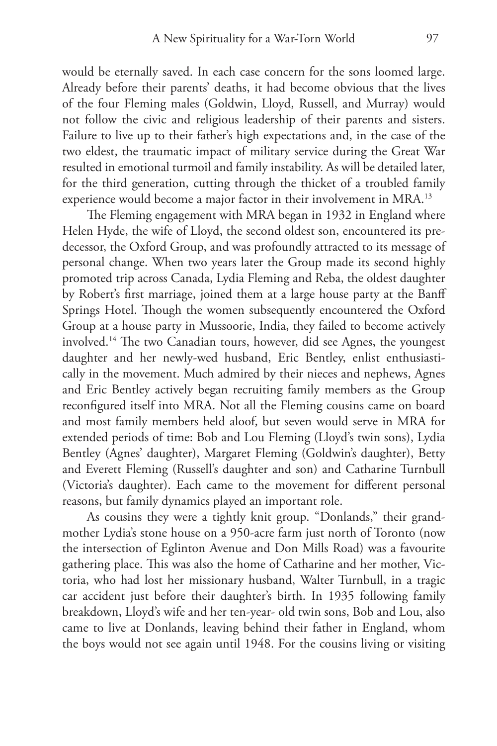would be eternally saved. In each case concern for the sons loomed large. Already before their parents' deaths, it had become obvious that the lives of the four Fleming males (Goldwin, Lloyd, Russell, and Murray) would not follow the civic and religious leadership of their parents and sisters. Failure to live up to their father's high expectations and, in the case of the two eldest, the traumatic impact of military service during the Great War resulted in emotional turmoil and family instability. As will be detailed later, for the third generation, cutting through the thicket of a troubled family experience would become a major factor in their involvement in MRA.13

The Fleming engagement with MRA began in 1932 in England where Helen Hyde, the wife of Lloyd, the second oldest son, encountered its predecessor, the Oxford Group, and was profoundly attracted to its message of personal change. When two years later the Group made its second highly promoted trip across Canada, Lydia Fleming and Reba, the oldest daughter by Robert's first marriage, joined them at a large house party at the Banff Springs Hotel. Though the women subsequently encountered the Oxford Group at a house party in Mussoorie, India, they failed to become actively involved.14 The two Canadian tours, however, did see Agnes, the youngest daughter and her newly-wed husband, Eric Bentley, enlist enthusiastically in the movement. Much admired by their nieces and nephews, Agnes and Eric Bentley actively began recruiting family members as the Group reconfigured itself into MRA. Not all the Fleming cousins came on board and most family members held aloof, but seven would serve in MRA for extended periods of time: Bob and Lou Fleming (Lloyd's twin sons), Lydia Bentley (Agnes' daughter), Margaret Fleming (Goldwin's daughter), Betty and Everett Fleming (Russell's daughter and son) and Catharine Turnbull (Victoria's daughter). Each came to the movement for different personal reasons, but family dynamics played an important role.

As cousins they were a tightly knit group. "Donlands," their grandmother Lydia's stone house on a 950-acre farm just north of Toronto (now the intersection of Eglinton Avenue and Don Mills Road) was a favourite gathering place. This was also the home of Catharine and her mother, Victoria, who had lost her missionary husband, Walter Turnbull, in a tragic car accident just before their daughter's birth. In 1935 following family breakdown, Lloyd's wife and her ten-year- old twin sons, Bob and Lou, also came to live at Donlands, leaving behind their father in England, whom the boys would not see again until 1948. For the cousins living or visiting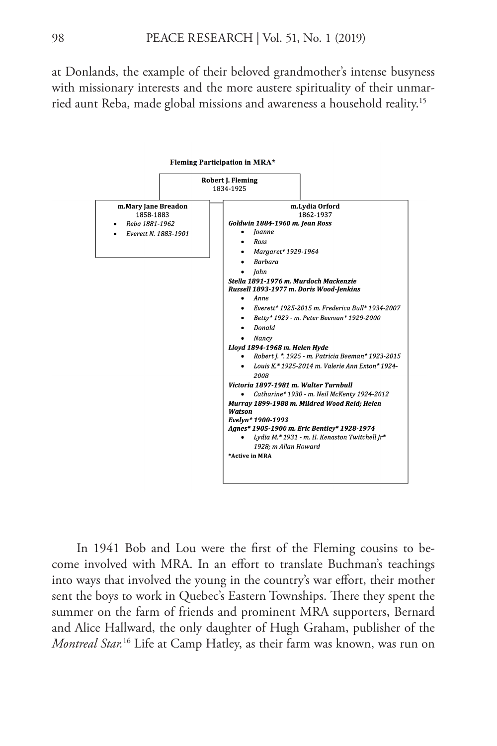at Donlands, the example of their beloved grandmother's intense busyness with missionary interests and the more austere spirituality of their unmarried aunt Reba, made global missions and awareness a household reality.15



In 1941 Bob and Lou were the first of the Fleming cousins to become involved with MRA. In an effort to translate Buchman's teachings into ways that involved the young in the country's war effort, their mother sent the boys to work in Quebec's Eastern Townships. There they spent the summer on the farm of friends and prominent MRA supporters, Bernard and Alice Hallward, the only daughter of Hugh Graham, publisher of the *Montreal Star.*16 Life at Camp Hatley, as their farm was known, was run on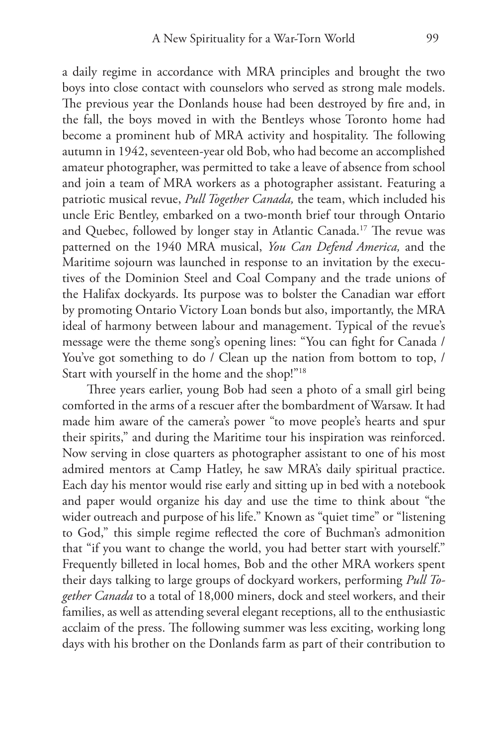a daily regime in accordance with MRA principles and brought the two boys into close contact with counselors who served as strong male models. The previous year the Donlands house had been destroyed by fire and, in the fall, the boys moved in with the Bentleys whose Toronto home had become a prominent hub of MRA activity and hospitality. The following autumn in 1942, seventeen-year old Bob, who had become an accomplished amateur photographer, was permitted to take a leave of absence from school and join a team of MRA workers as a photographer assistant. Featuring a patriotic musical revue, *Pull Together Canada,* the team, which included his uncle Eric Bentley, embarked on a two-month brief tour through Ontario and Quebec, followed by longer stay in Atlantic Canada.17 The revue was patterned on the 1940 MRA musical, *You Can Defend America,* and the Maritime sojourn was launched in response to an invitation by the executives of the Dominion Steel and Coal Company and the trade unions of the Halifax dockyards. Its purpose was to bolster the Canadian war effort by promoting Ontario Victory Loan bonds but also, importantly, the MRA ideal of harmony between labour and management. Typical of the revue's message were the theme song's opening lines: "You can fight for Canada / You've got something to do / Clean up the nation from bottom to top, / Start with yourself in the home and the shop!"18

Three years earlier, young Bob had seen a photo of a small girl being comforted in the arms of a rescuer after the bombardment of Warsaw. It had made him aware of the camera's power "to move people's hearts and spur their spirits," and during the Maritime tour his inspiration was reinforced. Now serving in close quarters as photographer assistant to one of his most admired mentors at Camp Hatley, he saw MRA's daily spiritual practice. Each day his mentor would rise early and sitting up in bed with a notebook and paper would organize his day and use the time to think about "the wider outreach and purpose of his life." Known as "quiet time" or "listening to God," this simple regime reflected the core of Buchman's admonition that "if you want to change the world, you had better start with yourself." Frequently billeted in local homes, Bob and the other MRA workers spent their days talking to large groups of dockyard workers, performing *Pull Together Canada* to a total of 18,000 miners, dock and steel workers, and their families, as well as attending several elegant receptions, all to the enthusiastic acclaim of the press. The following summer was less exciting, working long days with his brother on the Donlands farm as part of their contribution to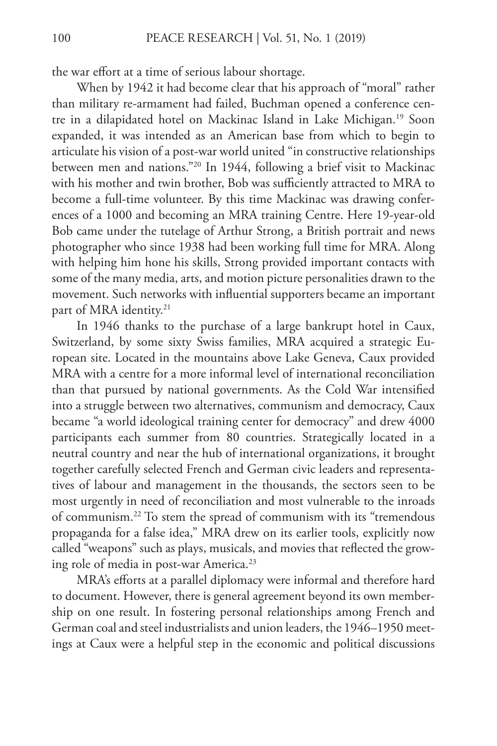the war effort at a time of serious labour shortage.

When by 1942 it had become clear that his approach of "moral" rather than military re-armament had failed, Buchman opened a conference centre in a dilapidated hotel on Mackinac Island in Lake Michigan.19 Soon expanded, it was intended as an American base from which to begin to articulate his vision of a post-war world united "in constructive relationships between men and nations."20 In 1944, following a brief visit to Mackinac with his mother and twin brother, Bob was sufficiently attracted to MRA to become a full-time volunteer. By this time Mackinac was drawing conferences of a 1000 and becoming an MRA training Centre. Here 19-year-old Bob came under the tutelage of Arthur Strong, a British portrait and news photographer who since 1938 had been working full time for MRA. Along with helping him hone his skills, Strong provided important contacts with some of the many media, arts, and motion picture personalities drawn to the movement. Such networks with influential supporters became an important part of MRA identity.<sup>21</sup>

In 1946 thanks to the purchase of a large bankrupt hotel in Caux, Switzerland, by some sixty Swiss families, MRA acquired a strategic European site. Located in the mountains above Lake Geneva, Caux provided MRA with a centre for a more informal level of international reconciliation than that pursued by national governments. As the Cold War intensified into a struggle between two alternatives, communism and democracy, Caux became "a world ideological training center for democracy" and drew 4000 participants each summer from 80 countries. Strategically located in a neutral country and near the hub of international organizations, it brought together carefully selected French and German civic leaders and representatives of labour and management in the thousands, the sectors seen to be most urgently in need of reconciliation and most vulnerable to the inroads of communism.22 To stem the spread of communism with its "tremendous propaganda for a false idea," MRA drew on its earlier tools, explicitly now called "weapons" such as plays, musicals, and movies that reflected the growing role of media in post-war America.<sup>23</sup>

MRA's efforts at a parallel diplomacy were informal and therefore hard to document. However, there is general agreement beyond its own membership on one result. In fostering personal relationships among French and German coal and steel industrialists and union leaders, the 1946–1950 meetings at Caux were a helpful step in the economic and political discussions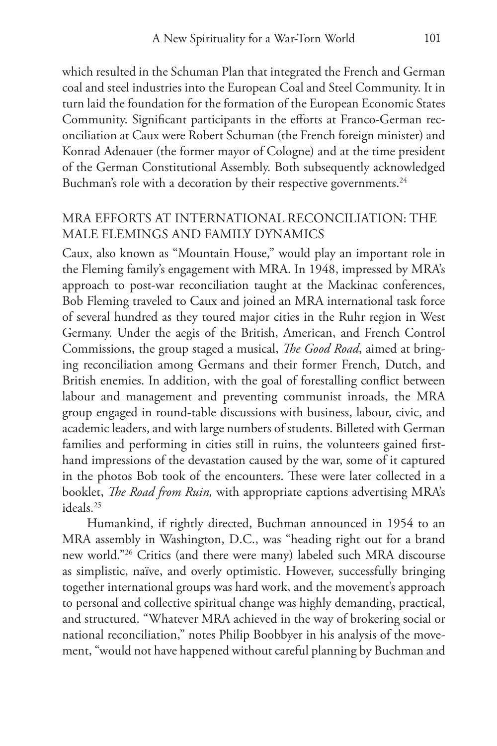which resulted in the Schuman Plan that integrated the French and German coal and steel industries into the European Coal and Steel Community. It in turn laid the foundation for the formation of the European Economic States Community. Significant participants in the efforts at Franco-German reconciliation at Caux were Robert Schuman (the French foreign minister) and Konrad Adenauer (the former mayor of Cologne) and at the time president of the German Constitutional Assembly. Both subsequently acknowledged Buchman's role with a decoration by their respective governments.<sup>24</sup>

# MRA EFFORTS AT INTERNATIONAL RECONCILIATION: THE MALE FLEMINGS AND FAMILY DYNAMICS

Caux, also known as "Mountain House," would play an important role in the Fleming family's engagement with MRA. In 1948, impressed by MRA's approach to post-war reconciliation taught at the Mackinac conferences, Bob Fleming traveled to Caux and joined an MRA international task force of several hundred as they toured major cities in the Ruhr region in West Germany. Under the aegis of the British, American, and French Control Commissions, the group staged a musical, *The Good Road*, aimed at bringing reconciliation among Germans and their former French, Dutch, and British enemies. In addition, with the goal of forestalling conflict between labour and management and preventing communist inroads, the MRA group engaged in round-table discussions with business, labour, civic, and academic leaders, and with large numbers of students. Billeted with German families and performing in cities still in ruins, the volunteers gained firsthand impressions of the devastation caused by the war, some of it captured in the photos Bob took of the encounters. These were later collected in a booklet, *The Road from Ruin,* with appropriate captions advertising MRA's ideals.25

Humankind, if rightly directed, Buchman announced in 1954 to an MRA assembly in Washington, D.C., was "heading right out for a brand new world."26 Critics (and there were many) labeled such MRA discourse as simplistic, naïve, and overly optimistic. However, successfully bringing together international groups was hard work, and the movement's approach to personal and collective spiritual change was highly demanding, practical, and structured. "Whatever MRA achieved in the way of brokering social or national reconciliation," notes Philip Boobbyer in his analysis of the movement, "would not have happened without careful planning by Buchman and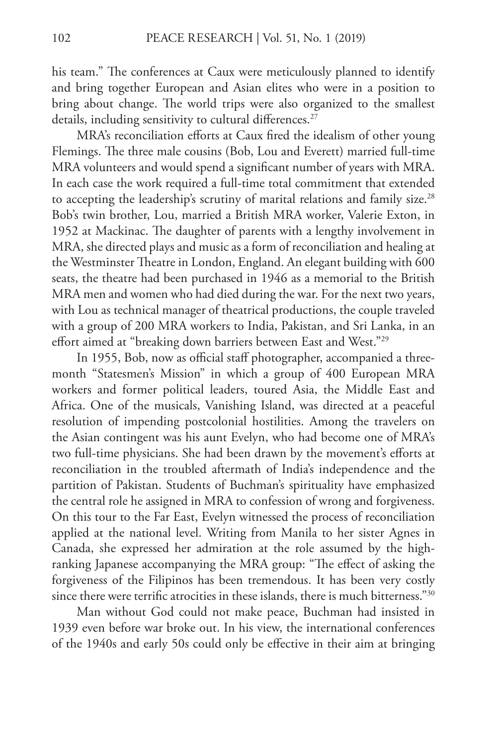his team." The conferences at Caux were meticulously planned to identify and bring together European and Asian elites who were in a position to bring about change. The world trips were also organized to the smallest details, including sensitivity to cultural differences.<sup>27</sup>

MRA's reconciliation efforts at Caux fired the idealism of other young Flemings. The three male cousins (Bob, Lou and Everett) married full-time MRA volunteers and would spend a significant number of years with MRA. In each case the work required a full-time total commitment that extended to accepting the leadership's scrutiny of marital relations and family size.<sup>28</sup> Bob's twin brother, Lou, married a British MRA worker, Valerie Exton, in 1952 at Mackinac. The daughter of parents with a lengthy involvement in MRA, she directed plays and music as a form of reconciliation and healing at the Westminster Theatre in London, England. An elegant building with 600 seats, the theatre had been purchased in 1946 as a memorial to the British MRA men and women who had died during the war. For the next two years, with Lou as technical manager of theatrical productions, the couple traveled with a group of 200 MRA workers to India, Pakistan, and Sri Lanka, in an effort aimed at "breaking down barriers between East and West."29

In 1955, Bob, now as official staff photographer, accompanied a threemonth "Statesmen's Mission" in which a group of 400 European MRA workers and former political leaders, toured Asia, the Middle East and Africa. One of the musicals, Vanishing Island, was directed at a peaceful resolution of impending postcolonial hostilities. Among the travelers on the Asian contingent was his aunt Evelyn, who had become one of MRA's two full-time physicians. She had been drawn by the movement's efforts at reconciliation in the troubled aftermath of India's independence and the partition of Pakistan. Students of Buchman's spirituality have emphasized the central role he assigned in MRA to confession of wrong and forgiveness. On this tour to the Far East, Evelyn witnessed the process of reconciliation applied at the national level. Writing from Manila to her sister Agnes in Canada, she expressed her admiration at the role assumed by the highranking Japanese accompanying the MRA group: "The effect of asking the forgiveness of the Filipinos has been tremendous. It has been very costly since there were terrific atrocities in these islands, there is much bitterness." $30$ 

Man without God could not make peace, Buchman had insisted in 1939 even before war broke out. In his view, the international conferences of the 1940s and early 50s could only be effective in their aim at bringing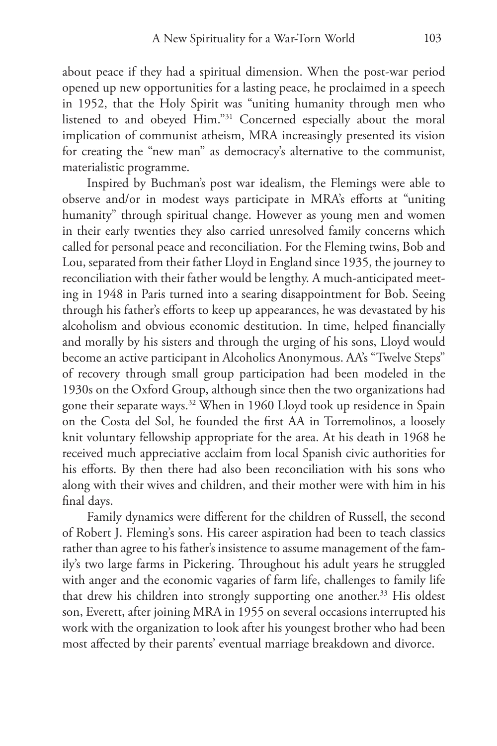about peace if they had a spiritual dimension. When the post-war period opened up new opportunities for a lasting peace, he proclaimed in a speech in 1952, that the Holy Spirit was "uniting humanity through men who listened to and obeyed Him."31 Concerned especially about the moral implication of communist atheism, MRA increasingly presented its vision for creating the "new man" as democracy's alternative to the communist, materialistic programme.

Inspired by Buchman's post war idealism, the Flemings were able to observe and/or in modest ways participate in MRA's efforts at "uniting humanity" through spiritual change. However as young men and women in their early twenties they also carried unresolved family concerns which called for personal peace and reconciliation. For the Fleming twins, Bob and Lou, separated from their father Lloyd in England since 1935, the journey to reconciliation with their father would be lengthy. A much-anticipated meeting in 1948 in Paris turned into a searing disappointment for Bob. Seeing through his father's efforts to keep up appearances, he was devastated by his alcoholism and obvious economic destitution. In time, helped financially and morally by his sisters and through the urging of his sons, Lloyd would become an active participant in Alcoholics Anonymous. AA's "Twelve Steps" of recovery through small group participation had been modeled in the 1930s on the Oxford Group, although since then the two organizations had gone their separate ways.<sup>32</sup> When in 1960 Lloyd took up residence in Spain on the Costa del Sol, he founded the first AA in Torremolinos, a loosely knit voluntary fellowship appropriate for the area. At his death in 1968 he received much appreciative acclaim from local Spanish civic authorities for his efforts. By then there had also been reconciliation with his sons who along with their wives and children, and their mother were with him in his final days.

Family dynamics were different for the children of Russell, the second of Robert J. Fleming's sons. His career aspiration had been to teach classics rather than agree to his father's insistence to assume management of the family's two large farms in Pickering. Throughout his adult years he struggled with anger and the economic vagaries of farm life, challenges to family life that drew his children into strongly supporting one another.<sup>33</sup> His oldest son, Everett, after joining MRA in 1955 on several occasions interrupted his work with the organization to look after his youngest brother who had been most affected by their parents' eventual marriage breakdown and divorce.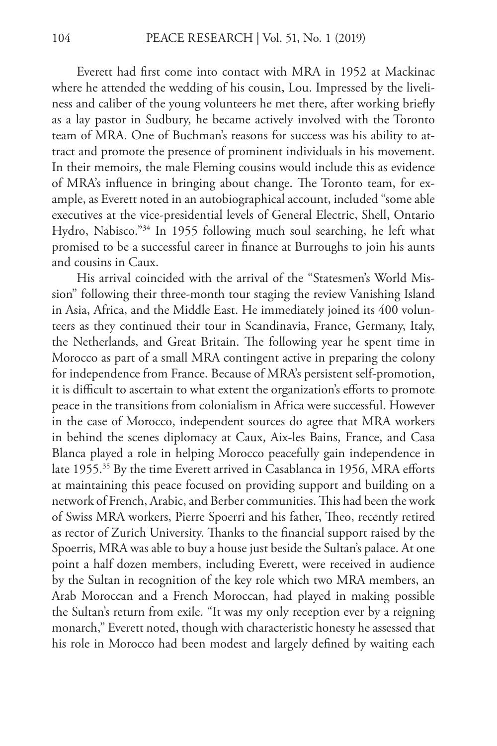Everett had first come into contact with MRA in 1952 at Mackinac where he attended the wedding of his cousin, Lou. Impressed by the liveliness and caliber of the young volunteers he met there, after working briefly as a lay pastor in Sudbury, he became actively involved with the Toronto team of MRA. One of Buchman's reasons for success was his ability to attract and promote the presence of prominent individuals in his movement. In their memoirs, the male Fleming cousins would include this as evidence of MRA's influence in bringing about change. The Toronto team, for example, as Everett noted in an autobiographical account, included "some able executives at the vice-presidential levels of General Electric, Shell, Ontario Hydro, Nabisco."34 In 1955 following much soul searching, he left what promised to be a successful career in finance at Burroughs to join his aunts and cousins in Caux.

His arrival coincided with the arrival of the "Statesmen's World Mission" following their three-month tour staging the review Vanishing Island in Asia, Africa, and the Middle East. He immediately joined its 400 volunteers as they continued their tour in Scandinavia, France, Germany, Italy, the Netherlands, and Great Britain. The following year he spent time in Morocco as part of a small MRA contingent active in preparing the colony for independence from France. Because of MRA's persistent self-promotion, it is difficult to ascertain to what extent the organization's efforts to promote peace in the transitions from colonialism in Africa were successful. However in the case of Morocco, independent sources do agree that MRA workers in behind the scenes diplomacy at Caux, Aix-les Bains, France, and Casa Blanca played a role in helping Morocco peacefully gain independence in late 1955.<sup>35</sup> By the time Everett arrived in Casablanca in 1956, MRA efforts at maintaining this peace focused on providing support and building on a network of French, Arabic, and Berber communities. This had been the work of Swiss MRA workers, Pierre Spoerri and his father, Theo, recently retired as rector of Zurich University. Thanks to the financial support raised by the Spoerris, MRA was able to buy a house just beside the Sultan's palace. At one point a half dozen members, including Everett, were received in audience by the Sultan in recognition of the key role which two MRA members, an Arab Moroccan and a French Moroccan, had played in making possible the Sultan's return from exile. "It was my only reception ever by a reigning monarch," Everett noted, though with characteristic honesty he assessed that his role in Morocco had been modest and largely defined by waiting each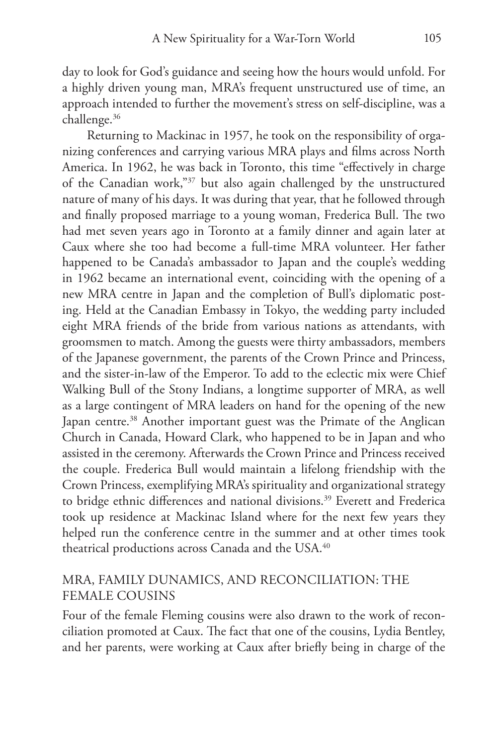day to look for God's guidance and seeing how the hours would unfold. For a highly driven young man, MRA's frequent unstructured use of time, an approach intended to further the movement's stress on self-discipline, was a challenge.36

Returning to Mackinac in 1957, he took on the responsibility of organizing conferences and carrying various MRA plays and films across North America. In 1962, he was back in Toronto, this time "effectively in charge of the Canadian work,"37 but also again challenged by the unstructured nature of many of his days. It was during that year, that he followed through and finally proposed marriage to a young woman, Frederica Bull. The two had met seven years ago in Toronto at a family dinner and again later at Caux where she too had become a full-time MRA volunteer. Her father happened to be Canada's ambassador to Japan and the couple's wedding in 1962 became an international event, coinciding with the opening of a new MRA centre in Japan and the completion of Bull's diplomatic posting. Held at the Canadian Embassy in Tokyo, the wedding party included eight MRA friends of the bride from various nations as attendants, with groomsmen to match. Among the guests were thirty ambassadors, members of the Japanese government, the parents of the Crown Prince and Princess, and the sister-in-law of the Emperor. To add to the eclectic mix were Chief Walking Bull of the Stony Indians, a longtime supporter of MRA, as well as a large contingent of MRA leaders on hand for the opening of the new Japan centre.<sup>38</sup> Another important guest was the Primate of the Anglican Church in Canada, Howard Clark, who happened to be in Japan and who assisted in the ceremony. Afterwards the Crown Prince and Princess received the couple. Frederica Bull would maintain a lifelong friendship with the Crown Princess, exemplifying MRA's spirituality and organizational strategy to bridge ethnic differences and national divisions.<sup>39</sup> Everett and Frederica took up residence at Mackinac Island where for the next few years they helped run the conference centre in the summer and at other times took theatrical productions across Canada and the USA.<sup>40</sup>

### MRA, FAMILY DUNAMICS, AND RECONCILIATION: THE FEMALE COUSINS

Four of the female Fleming cousins were also drawn to the work of reconciliation promoted at Caux. The fact that one of the cousins, Lydia Bentley, and her parents, were working at Caux after briefly being in charge of the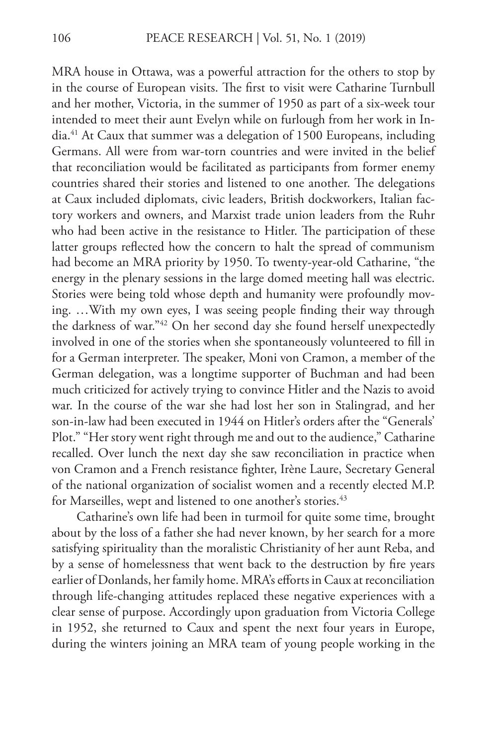MRA house in Ottawa, was a powerful attraction for the others to stop by in the course of European visits. The first to visit were Catharine Turnbull and her mother, Victoria, in the summer of 1950 as part of a six-week tour intended to meet their aunt Evelyn while on furlough from her work in India.41 At Caux that summer was a delegation of 1500 Europeans, including Germans. All were from war-torn countries and were invited in the belief that reconciliation would be facilitated as participants from former enemy countries shared their stories and listened to one another. The delegations at Caux included diplomats, civic leaders, British dockworkers, Italian factory workers and owners, and Marxist trade union leaders from the Ruhr who had been active in the resistance to Hitler. The participation of these latter groups reflected how the concern to halt the spread of communism had become an MRA priority by 1950. To twenty-year-old Catharine, "the energy in the plenary sessions in the large domed meeting hall was electric. Stories were being told whose depth and humanity were profoundly moving. …With my own eyes, I was seeing people finding their way through the darkness of war."42 On her second day she found herself unexpectedly involved in one of the stories when she spontaneously volunteered to fill in for a German interpreter. The speaker, Moni von Cramon, a member of the German delegation, was a longtime supporter of Buchman and had been much criticized for actively trying to convince Hitler and the Nazis to avoid war. In the course of the war she had lost her son in Stalingrad, and her son-in-law had been executed in 1944 on Hitler's orders after the "Generals' Plot." "Her story went right through me and out to the audience," Catharine recalled. Over lunch the next day she saw reconciliation in practice when von Cramon and a French resistance fighter, Irène Laure, Secretary General of the national organization of socialist women and a recently elected M.P. for Marseilles, wept and listened to one another's stories.<sup>43</sup>

Catharine's own life had been in turmoil for quite some time, brought about by the loss of a father she had never known, by her search for a more satisfying spirituality than the moralistic Christianity of her aunt Reba, and by a sense of homelessness that went back to the destruction by fire years earlier of Donlands, her family home. MRA's efforts in Caux at reconciliation through life-changing attitudes replaced these negative experiences with a clear sense of purpose. Accordingly upon graduation from Victoria College in 1952, she returned to Caux and spent the next four years in Europe, during the winters joining an MRA team of young people working in the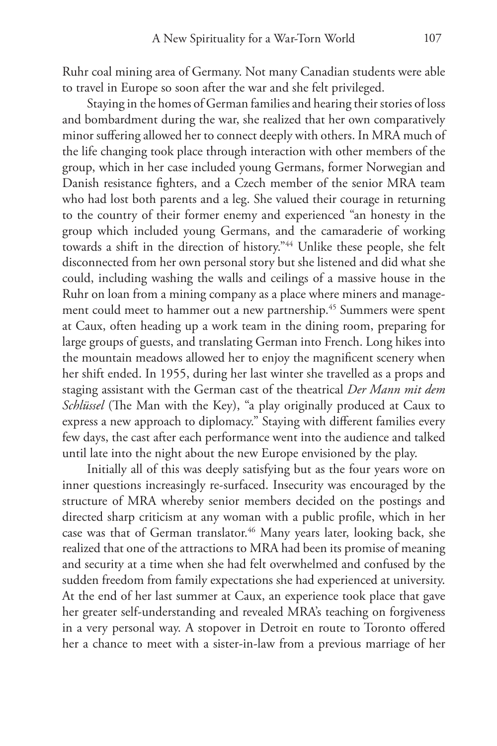Ruhr coal mining area of Germany. Not many Canadian students were able to travel in Europe so soon after the war and she felt privileged.

Staying in the homes of German families and hearing their stories of loss and bombardment during the war, she realized that her own comparatively minor suffering allowed her to connect deeply with others. In MRA much of the life changing took place through interaction with other members of the group, which in her case included young Germans, former Norwegian and Danish resistance fighters, and a Czech member of the senior MRA team who had lost both parents and a leg. She valued their courage in returning to the country of their former enemy and experienced "an honesty in the group which included young Germans, and the camaraderie of working towards a shift in the direction of history."44 Unlike these people, she felt disconnected from her own personal story but she listened and did what she could, including washing the walls and ceilings of a massive house in the Ruhr on loan from a mining company as a place where miners and management could meet to hammer out a new partnership.<sup>45</sup> Summers were spent at Caux, often heading up a work team in the dining room, preparing for large groups of guests, and translating German into French. Long hikes into the mountain meadows allowed her to enjoy the magnificent scenery when her shift ended. In 1955, during her last winter she travelled as a props and staging assistant with the German cast of the theatrical *Der Mann mit dem Schlüssel* (The Man with the Key), "a play originally produced at Caux to express a new approach to diplomacy." Staying with different families every few days, the cast after each performance went into the audience and talked until late into the night about the new Europe envisioned by the play.

Initially all of this was deeply satisfying but as the four years wore on inner questions increasingly re-surfaced. Insecurity was encouraged by the structure of MRA whereby senior members decided on the postings and directed sharp criticism at any woman with a public profile, which in her case was that of German translator.<sup>46</sup> Many years later, looking back, she realized that one of the attractions to MRA had been its promise of meaning and security at a time when she had felt overwhelmed and confused by the sudden freedom from family expectations she had experienced at university. At the end of her last summer at Caux, an experience took place that gave her greater self-understanding and revealed MRA's teaching on forgiveness in a very personal way. A stopover in Detroit en route to Toronto offered her a chance to meet with a sister-in-law from a previous marriage of her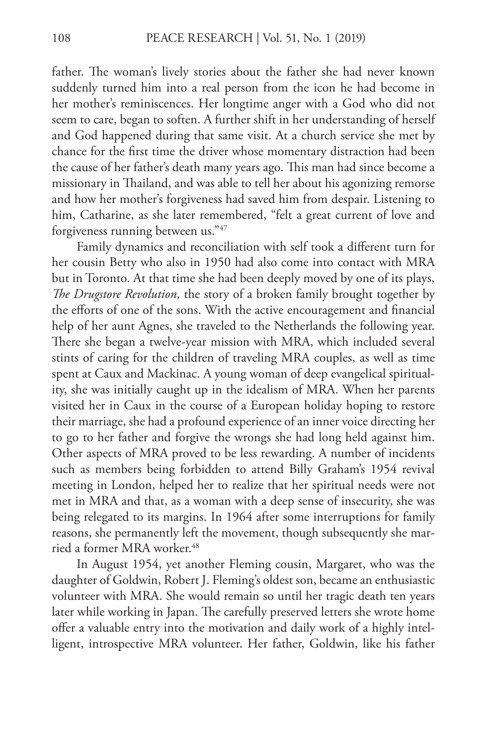father. The woman's lively stories about the father she had never known suddenly turned him into a real person from the icon he had become in her mother's reminiscences. Her longtime anger with a God who did not seem to care, began to soften. A further shift in her understanding of herself and God happened during that same visit. At a church service she met by chance for the first time the driver whose momentary distraction had been the cause of her father's death many years ago. This man had since become a missionary in Thailand, and was able to tell her about his agonizing remorse and how her mother's forgiveness had saved him from despair. Listening to him, Catharine, as she later remembered, "felt a great current of love and forgiveness running between us."47

Family dynamics and reconciliation with self took a different turn for her cousin Betty who also in 1950 had also come into contact with MRA but in Toronto. At that time she had been deeply moved by one of its plays, *The Drugstore Revolution,* the story of a broken family brought together by the efforts of one of the sons. With the active encouragement and financial help of her aunt Agnes, she traveled to the Netherlands the following year. There she began a twelve-year mission with MRA, which included several stints of caring for the children of traveling MRA couples, as well as time spent at Caux and Mackinac. A young woman of deep evangelical spirituality, she was initially caught up in the idealism of MRA. When her parents visited her in Caux in the course of a European holiday hoping to restore their marriage, she had a profound experience of an inner voice directing her to go to her father and forgive the wrongs she had long held against him. Other aspects of MRA proved to be less rewarding. A number of incidents such as members being forbidden to attend Billy Graham's 1954 revival meeting in London, helped her to realize that her spiritual needs were not met in MRA and that, as a woman with a deep sense of insecurity, she was being relegated to its margins. In 1964 after some interruptions for family reasons, she permanently left the movement, though subsequently she married a former MRA worker.<sup>48</sup>

In August 1954, yet another Fleming cousin, Margaret, who was the daughter of Goldwin, Robert J. Fleming's oldest son, became an enthusiastic volunteer with MRA. She would remain so until her tragic death ten years later while working in Japan. The carefully preserved letters she wrote home offer a valuable entry into the motivation and daily work of a highly intelligent, introspective MRA volunteer. Her father, Goldwin, like his father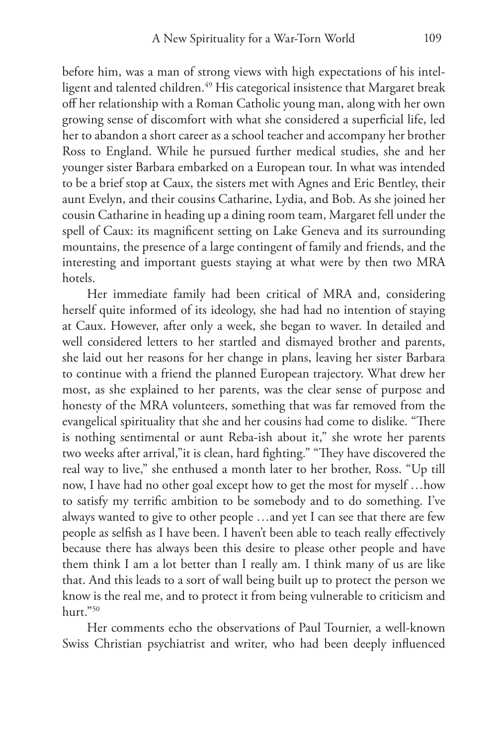before him, was a man of strong views with high expectations of his intelligent and talented children.<sup>49</sup> His categorical insistence that Margaret break off her relationship with a Roman Catholic young man, along with her own growing sense of discomfort with what she considered a superficial life, led her to abandon a short career as a school teacher and accompany her brother Ross to England. While he pursued further medical studies, she and her younger sister Barbara embarked on a European tour. In what was intended to be a brief stop at Caux, the sisters met with Agnes and Eric Bentley, their aunt Evelyn, and their cousins Catharine, Lydia, and Bob. As she joined her cousin Catharine in heading up a dining room team, Margaret fell under the spell of Caux: its magnificent setting on Lake Geneva and its surrounding mountains, the presence of a large contingent of family and friends, and the interesting and important guests staying at what were by then two MRA hotels.

Her immediate family had been critical of MRA and, considering herself quite informed of its ideology, she had had no intention of staying at Caux. However, after only a week, she began to waver. In detailed and well considered letters to her startled and dismayed brother and parents, she laid out her reasons for her change in plans, leaving her sister Barbara to continue with a friend the planned European trajectory. What drew her most, as she explained to her parents, was the clear sense of purpose and honesty of the MRA volunteers, something that was far removed from the evangelical spirituality that she and her cousins had come to dislike. "There is nothing sentimental or aunt Reba-ish about it," she wrote her parents two weeks after arrival,"it is clean, hard fighting." "They have discovered the real way to live," she enthused a month later to her brother, Ross. "Up till now, I have had no other goal except how to get the most for myself …how to satisfy my terrific ambition to be somebody and to do something. I've always wanted to give to other people …and yet I can see that there are few people as selfish as I have been. I haven't been able to teach really effectively because there has always been this desire to please other people and have them think I am a lot better than I really am. I think many of us are like that. And this leads to a sort of wall being built up to protect the person we know is the real me, and to protect it from being vulnerable to criticism and hurt."50

Her comments echo the observations of Paul Tournier, a well-known Swiss Christian psychiatrist and writer, who had been deeply influenced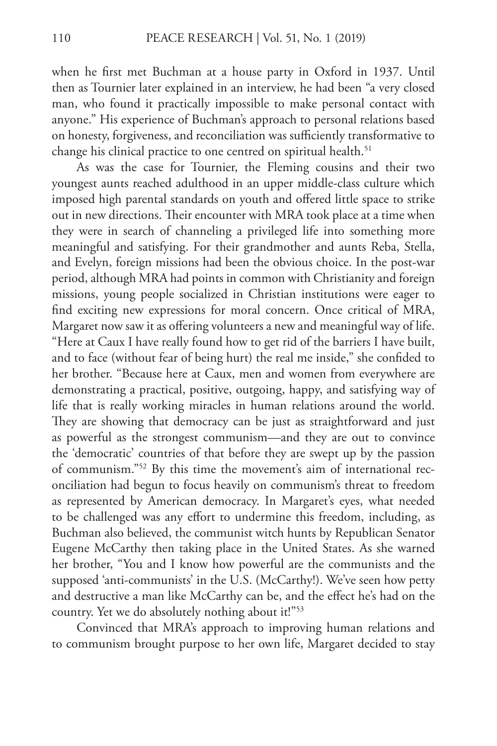when he first met Buchman at a house party in Oxford in 1937. Until then as Tournier later explained in an interview, he had been "a very closed man, who found it practically impossible to make personal contact with anyone." His experience of Buchman's approach to personal relations based on honesty, forgiveness, and reconciliation was sufficiently transformative to change his clinical practice to one centred on spiritual health.<sup>51</sup>

As was the case for Tournier, the Fleming cousins and their two youngest aunts reached adulthood in an upper middle-class culture which imposed high parental standards on youth and offered little space to strike out in new directions. Their encounter with MRA took place at a time when they were in search of channeling a privileged life into something more meaningful and satisfying. For their grandmother and aunts Reba, Stella, and Evelyn, foreign missions had been the obvious choice. In the post-war period, although MRA had points in common with Christianity and foreign missions, young people socialized in Christian institutions were eager to find exciting new expressions for moral concern. Once critical of MRA, Margaret now saw it as offering volunteers a new and meaningful way of life. "Here at Caux I have really found how to get rid of the barriers I have built, and to face (without fear of being hurt) the real me inside," she confided to her brother. "Because here at Caux, men and women from everywhere are demonstrating a practical, positive, outgoing, happy, and satisfying way of life that is really working miracles in human relations around the world. They are showing that democracy can be just as straightforward and just as powerful as the strongest communism—and they are out to convince the 'democratic' countries of that before they are swept up by the passion of communism."52 By this time the movement's aim of international reconciliation had begun to focus heavily on communism's threat to freedom as represented by American democracy. In Margaret's eyes, what needed to be challenged was any effort to undermine this freedom, including, as Buchman also believed, the communist witch hunts by Republican Senator Eugene McCarthy then taking place in the United States. As she warned her brother, "You and I know how powerful are the communists and the supposed 'anti-communists' in the U.S. (McCarthy!). We've seen how petty and destructive a man like McCarthy can be, and the effect he's had on the country. Yet we do absolutely nothing about it!"<sup>53</sup>

Convinced that MRA's approach to improving human relations and to communism brought purpose to her own life, Margaret decided to stay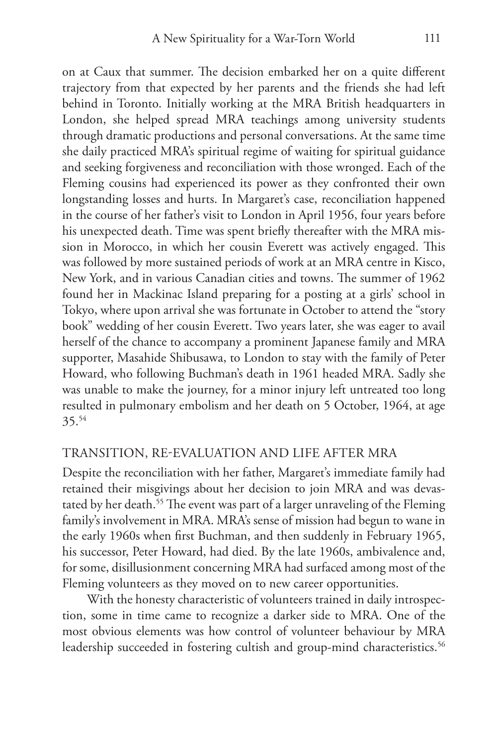on at Caux that summer. The decision embarked her on a quite different trajectory from that expected by her parents and the friends she had left behind in Toronto. Initially working at the MRA British headquarters in London, she helped spread MRA teachings among university students through dramatic productions and personal conversations. At the same time she daily practiced MRA's spiritual regime of waiting for spiritual guidance and seeking forgiveness and reconciliation with those wronged. Each of the Fleming cousins had experienced its power as they confronted their own longstanding losses and hurts. In Margaret's case, reconciliation happened in the course of her father's visit to London in April 1956, four years before his unexpected death. Time was spent briefly thereafter with the MRA mission in Morocco, in which her cousin Everett was actively engaged. This was followed by more sustained periods of work at an MRA centre in Kisco, New York, and in various Canadian cities and towns. The summer of 1962 found her in Mackinac Island preparing for a posting at a girls' school in Tokyo, where upon arrival she was fortunate in October to attend the "story book" wedding of her cousin Everett. Two years later, she was eager to avail herself of the chance to accompany a prominent Japanese family and MRA supporter, Masahide Shibusawa, to London to stay with the family of Peter Howard, who following Buchman's death in 1961 headed MRA. Sadly she was unable to make the journey, for a minor injury left untreated too long resulted in pulmonary embolism and her death on 5 October, 1964, at age 35.54

#### TRANSITION, RE-EVALUATION AND LIFE AFTER MRA

Despite the reconciliation with her father, Margaret's immediate family had retained their misgivings about her decision to join MRA and was devastated by her death.<sup>55</sup> The event was part of a larger unraveling of the Fleming family's involvement in MRA. MRA's sense of mission had begun to wane in the early 1960s when first Buchman, and then suddenly in February 1965, his successor, Peter Howard, had died. By the late 1960s, ambivalence and, for some, disillusionment concerning MRA had surfaced among most of the Fleming volunteers as they moved on to new career opportunities.

With the honesty characteristic of volunteers trained in daily introspection, some in time came to recognize a darker side to MRA. One of the most obvious elements was how control of volunteer behaviour by MRA leadership succeeded in fostering cultish and group-mind characteristics.<sup>56</sup>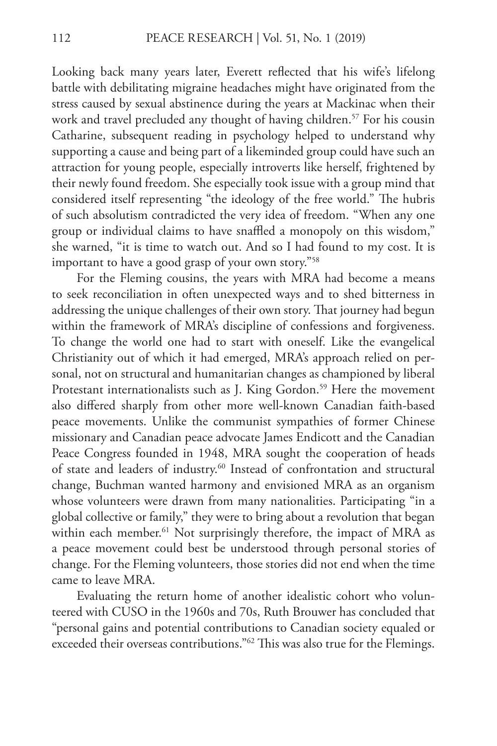Looking back many years later, Everett reflected that his wife's lifelong battle with debilitating migraine headaches might have originated from the stress caused by sexual abstinence during the years at Mackinac when their work and travel precluded any thought of having children.<sup>57</sup> For his cousin Catharine, subsequent reading in psychology helped to understand why supporting a cause and being part of a likeminded group could have such an attraction for young people, especially introverts like herself, frightened by their newly found freedom. She especially took issue with a group mind that considered itself representing "the ideology of the free world." The hubris of such absolutism contradicted the very idea of freedom. "When any one group or individual claims to have snaffled a monopoly on this wisdom," she warned, "it is time to watch out. And so I had found to my cost. It is important to have a good grasp of your own story."58

For the Fleming cousins, the years with MRA had become a means to seek reconciliation in often unexpected ways and to shed bitterness in addressing the unique challenges of their own story. That journey had begun within the framework of MRA's discipline of confessions and forgiveness. To change the world one had to start with oneself. Like the evangelical Christianity out of which it had emerged, MRA's approach relied on personal, not on structural and humanitarian changes as championed by liberal Protestant internationalists such as J. King Gordon.<sup>59</sup> Here the movement also differed sharply from other more well-known Canadian faith-based peace movements. Unlike the communist sympathies of former Chinese missionary and Canadian peace advocate James Endicott and the Canadian Peace Congress founded in 1948, MRA sought the cooperation of heads of state and leaders of industry.<sup>60</sup> Instead of confrontation and structural change, Buchman wanted harmony and envisioned MRA as an organism whose volunteers were drawn from many nationalities. Participating "in a global collective or family," they were to bring about a revolution that began within each member.<sup>61</sup> Not surprisingly therefore, the impact of MRA as a peace movement could best be understood through personal stories of change. For the Fleming volunteers, those stories did not end when the time came to leave MRA.

Evaluating the return home of another idealistic cohort who volunteered with CUSO in the 1960s and 70s, Ruth Brouwer has concluded that "personal gains and potential contributions to Canadian society equaled or exceeded their overseas contributions."62 This was also true for the Flemings.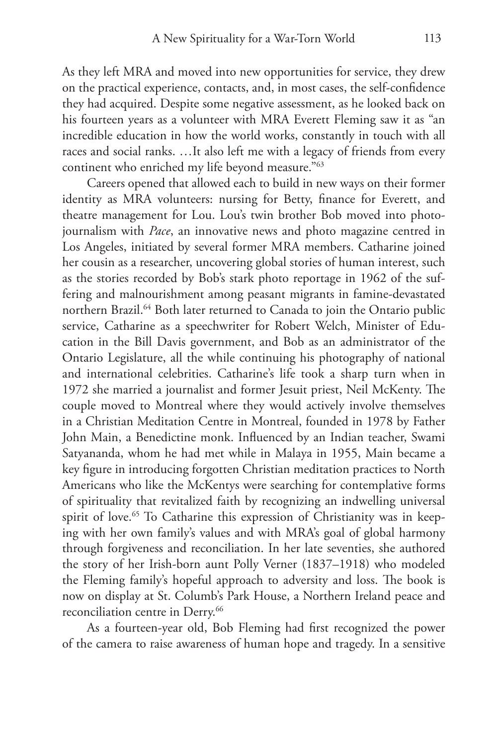As they left MRA and moved into new opportunities for service, they drew on the practical experience, contacts, and, in most cases, the self-confidence they had acquired. Despite some negative assessment, as he looked back on his fourteen years as a volunteer with MRA Everett Fleming saw it as "an incredible education in how the world works, constantly in touch with all races and social ranks. …It also left me with a legacy of friends from every continent who enriched my life beyond measure."63

Careers opened that allowed each to build in new ways on their former identity as MRA volunteers: nursing for Betty, finance for Everett, and theatre management for Lou. Lou's twin brother Bob moved into photojournalism with *Pace*, an innovative news and photo magazine centred in Los Angeles, initiated by several former MRA members. Catharine joined her cousin as a researcher, uncovering global stories of human interest, such as the stories recorded by Bob's stark photo reportage in 1962 of the suffering and malnourishment among peasant migrants in famine-devastated northern Brazil.<sup>64</sup> Both later returned to Canada to join the Ontario public service, Catharine as a speechwriter for Robert Welch, Minister of Education in the Bill Davis government, and Bob as an administrator of the Ontario Legislature, all the while continuing his photography of national and international celebrities. Catharine's life took a sharp turn when in 1972 she married a journalist and former Jesuit priest, Neil McKenty. The couple moved to Montreal where they would actively involve themselves in a Christian Meditation Centre in Montreal, founded in 1978 by Father John Main, a Benedictine monk. Influenced by an Indian teacher, Swami Satyananda, whom he had met while in Malaya in 1955, Main became a key figure in introducing forgotten Christian meditation practices to North Americans who like the McKentys were searching for contemplative forms of spirituality that revitalized faith by recognizing an indwelling universal spirit of love.<sup>65</sup> To Catharine this expression of Christianity was in keeping with her own family's values and with MRA's goal of global harmony through forgiveness and reconciliation. In her late seventies, she authored the story of her Irish-born aunt Polly Verner (1837–1918) who modeled the Fleming family's hopeful approach to adversity and loss. The book is now on display at St. Columb's Park House, a Northern Ireland peace and reconciliation centre in Derry.<sup>66</sup>

As a fourteen-year old, Bob Fleming had first recognized the power of the camera to raise awareness of human hope and tragedy. In a sensitive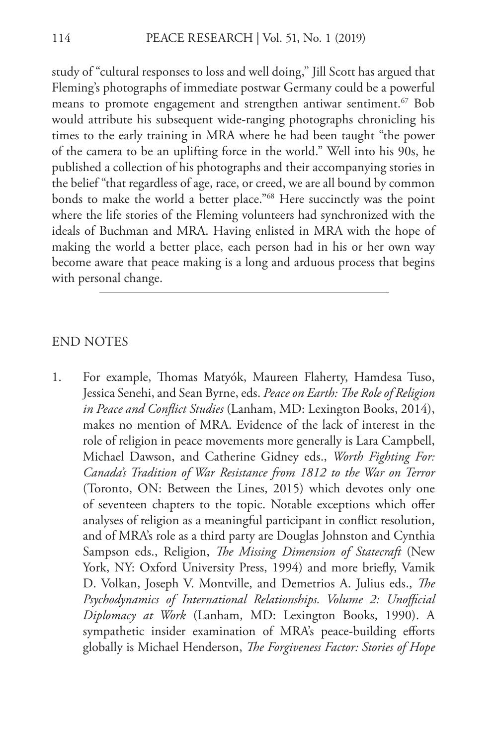study of "cultural responses to loss and well doing," Jill Scott has argued that Fleming's photographs of immediate postwar Germany could be a powerful means to promote engagement and strengthen antiwar sentiment.<sup>67</sup> Bob would attribute his subsequent wide-ranging photographs chronicling his times to the early training in MRA where he had been taught "the power of the camera to be an uplifting force in the world." Well into his 90s, he published a collection of his photographs and their accompanying stories in the belief "that regardless of age, race, or creed, we are all bound by common bonds to make the world a better place."68 Here succinctly was the point where the life stories of the Fleming volunteers had synchronized with the ideals of Buchman and MRA. Having enlisted in MRA with the hope of making the world a better place, each person had in his or her own way become aware that peace making is a long and arduous process that begins with personal change.

#### END NOTES

1. For example, Thomas Matyók, Maureen Flaherty, Hamdesa Tuso, Jessica Senehi, and Sean Byrne, eds. *Peace on Earth: The Role of Religion in Peace and Conflict Studies* (Lanham, MD: Lexington Books, 2014), makes no mention of MRA. Evidence of the lack of interest in the role of religion in peace movements more generally is Lara Campbell, Michael Dawson, and Catherine Gidney eds., *Worth Fighting For: Canada's Tradition of War Resistance from 1812 to the War on Terror*  (Toronto, ON: Between the Lines, 2015) which devotes only one of seventeen chapters to the topic. Notable exceptions which offer analyses of religion as a meaningful participant in conflict resolution, and of MRA's role as a third party are Douglas Johnston and Cynthia Sampson eds., Religion, *The Missing Dimension of Statecraft* (New York, NY: Oxford University Press, 1994) and more briefly, Vamik D. Volkan, Joseph V. Montville, and Demetrios A. Julius eds., *The Psychodynamics of International Relationships. Volume 2: Unofficial Diplomacy at Work* (Lanham, MD: Lexington Books, 1990). A sympathetic insider examination of MRA's peace-building efforts globally is Michael Henderson, *The Forgiveness Factor: Stories of Hope*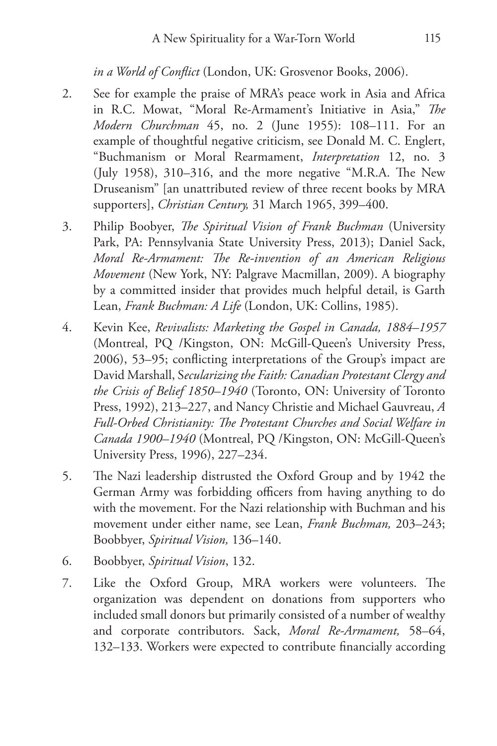*in a World of Conflict* (London, UK: Grosvenor Books, 2006).

- 2. See for example the praise of MRA's peace work in Asia and Africa in R.C. Mowat, "Moral Re-Armament's Initiative in Asia," *The Modern Churchman* 45, no. 2 (June 1955): 108–111. For an example of thoughtful negative criticism, see Donald M. C. Englert, "Buchmanism or Moral Rearmament, *Interpretation* 12, no. 3 (July 1958), 310–316, and the more negative "M.R.A. The New Druseanism" [an unattributed review of three recent books by MRA supporters], *Christian Century,* 31 March 1965, 399–400.
- 3. Philip Boobyer, *The Spiritual Vision of Frank Buchman* (University Park, PA: Pennsylvania State University Press, 2013); Daniel Sack, *Moral Re-Armament: The Re-invention of an American Religious Movement* (New York, NY: Palgrave Macmillan, 2009). A biography by a committed insider that provides much helpful detail, is Garth Lean, *Frank Buchman: A Life* (London, UK: Collins, 1985).
- 4. Kevin Kee, *Revivalists: Marketing the Gospel in Canada, 1884–1957*  (Montreal, PQ /Kingston, ON: McGill-Queen's University Press, 2006), 53–95; conflicting interpretations of the Group's impact are David Marshall, S*ecularizing the Faith: Canadian Protestant Clergy and the Crisis of Belief 1850–1940* (Toronto, ON: University of Toronto Press, 1992), 213–227, and Nancy Christie and Michael Gauvreau, *A Full-Orbed Christianity: The Protestant Churches and Social Welfare in Canada 1900–1940* (Montreal, PQ /Kingston, ON: McGill-Queen's University Press, 1996), 227–234.
- 5. The Nazi leadership distrusted the Oxford Group and by 1942 the German Army was forbidding officers from having anything to do with the movement. For the Nazi relationship with Buchman and his movement under either name, see Lean, *Frank Buchman,* 203–243; Boobbyer, *Spiritual Vision,* 136–140.
- 6. Boobbyer, *Spiritual Vision*, 132.
- 7. Like the Oxford Group, MRA workers were volunteers. The organization was dependent on donations from supporters who included small donors but primarily consisted of a number of wealthy and corporate contributors. Sack, *Moral Re-Armament,* 58–64, 132–133. Workers were expected to contribute financially according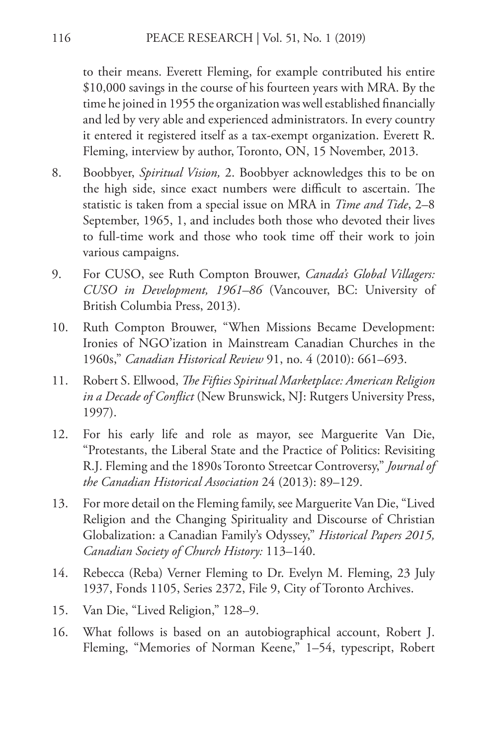to their means. Everett Fleming, for example contributed his entire \$10,000 savings in the course of his fourteen years with MRA. By the time he joined in 1955 the organization was well established financially and led by very able and experienced administrators. In every country it entered it registered itself as a tax-exempt organization. Everett R. Fleming, interview by author, Toronto, ON, 15 November, 2013.

- 8. Boobbyer, *Spiritual Vision,* 2. Boobbyer acknowledges this to be on the high side, since exact numbers were difficult to ascertain. The statistic is taken from a special issue on MRA in *Time and Tide*, 2–8 September, 1965, 1, and includes both those who devoted their lives to full-time work and those who took time off their work to join various campaigns.
- 9. For CUSO, see Ruth Compton Brouwer, *Canada's Global Villagers: CUSO in Development, 1961–86* (Vancouver, BC: University of British Columbia Press, 2013).
- 10. Ruth Compton Brouwer, "When Missions Became Development: Ironies of NGO'ization in Mainstream Canadian Churches in the 1960s," *Canadian Historical Review* 91, no. 4 (2010): 661–693.
- 11. Robert S. Ellwood, *The Fifties Spiritual Marketplace: American Religion in a Decade of Conflict* (New Brunswick, NJ: Rutgers University Press, 1997).
- 12. For his early life and role as mayor, see Marguerite Van Die, "Protestants, the Liberal State and the Practice of Politics: Revisiting R.J. Fleming and the 1890s Toronto Streetcar Controversy," *Journal of the Canadian Historical Association* 24 (2013): 89–129.
- 13. For more detail on the Fleming family, see Marguerite Van Die, "Lived Religion and the Changing Spirituality and Discourse of Christian Globalization: a Canadian Family's Odyssey," *Historical Papers 2015, Canadian Society of Church History:* 113–140.
- 14. Rebecca (Reba) Verner Fleming to Dr. Evelyn M. Fleming, 23 July 1937, Fonds 1105, Series 2372, File 9, City of Toronto Archives.
- 15. Van Die, "Lived Religion," 128–9.
- 16. What follows is based on an autobiographical account, Robert J. Fleming, "Memories of Norman Keene," 1-54, typescript, Robert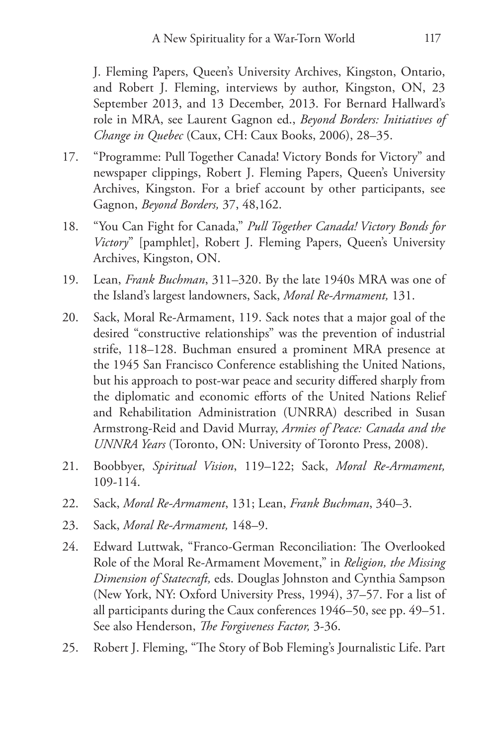J. Fleming Papers, Queen's University Archives, Kingston, Ontario, and Robert J. Fleming, interviews by author, Kingston, ON, 23 September 2013, and 13 December, 2013. For Bernard Hallward's role in MRA, see Laurent Gagnon ed., *Beyond Borders: Initiatives of Change in Quebec* (Caux, CH: Caux Books, 2006), 28–35.

- 17. "Programme: Pull Together Canada! Victory Bonds for Victory" and newspaper clippings, Robert J. Fleming Papers, Queen's University Archives, Kingston. For a brief account by other participants, see Gagnon, *Beyond Borders,* 37, 48,162.
- 18. "You Can Fight for Canada," *Pull Together Canada! Victory Bonds for Victory*" [pamphlet], Robert J. Fleming Papers, Queen's University Archives, Kingston, ON.
- 19. Lean, *Frank Buchman*, 311–320. By the late 1940s MRA was one of the Island's largest landowners, Sack, *Moral Re-Armament,* 131.
- 20. Sack, Moral Re-Armament, 119. Sack notes that a major goal of the desired "constructive relationships" was the prevention of industrial strife, 118–128. Buchman ensured a prominent MRA presence at the 1945 San Francisco Conference establishing the United Nations, but his approach to post-war peace and security differed sharply from the diplomatic and economic efforts of the United Nations Relief and Rehabilitation Administration (UNRRA) described in Susan Armstrong-Reid and David Murray, *Armies of Peace: Canada and the UNNRA Years* (Toronto, ON: University of Toronto Press, 2008).
- 21. Boobbyer, *Spiritual Vision*, 119–122; Sack, *Moral Re-Armament,*  109-114.
- 22. Sack, *Moral Re-Armament*, 131; Lean, *Frank Buchman*, 340–3.
- 23. Sack, *Moral Re-Armament,* 148–9.
- 24. Edward Luttwak, "Franco-German Reconciliation: The Overlooked Role of the Moral Re-Armament Movement," in *Religion, the Missing Dimension of Statecraft,* eds. Douglas Johnston and Cynthia Sampson (New York, NY: Oxford University Press, 1994), 37–57. For a list of all participants during the Caux conferences 1946–50, see pp. 49–51. See also Henderson, *The Forgiveness Factor,* 3-36.
- 25. Robert J. Fleming, "The Story of Bob Fleming's Journalistic Life. Part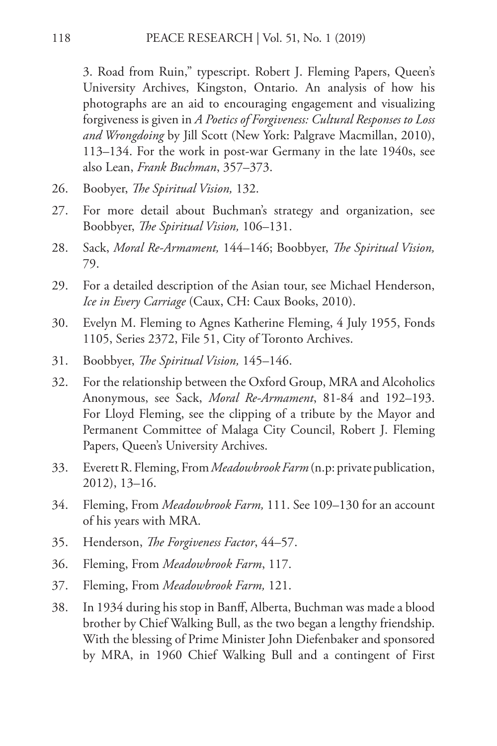3. Road from Ruin," typescript. Robert J. Fleming Papers, Queen's University Archives, Kingston, Ontario. An analysis of how his photographs are an aid to encouraging engagement and visualizing forgiveness is given in *A Poetics of Forgiveness: Cultural Responses to Loss and Wrongdoing* by Jill Scott (New York: Palgrave Macmillan, 2010), 113–134. For the work in post-war Germany in the late 1940s, see also Lean, *Frank Buchman*, 357–373.

- 26. Boobyer, *The Spiritual Vision,* 132.
- 27. For more detail about Buchman's strategy and organization, see Boobbyer, *The Spiritual Vision,* 106–131.
- 28. Sack, *Moral Re-Armament,* 144–146; Boobbyer, *The Spiritual Vision,*  79.
- 29. For a detailed description of the Asian tour, see Michael Henderson, *Ice in Every Carriage* (Caux, CH: Caux Books, 2010).
- 30. Evelyn M. Fleming to Agnes Katherine Fleming, 4 July 1955, Fonds 1105, Series 2372, File 51, City of Toronto Archives.
- 31. Boobbyer, *The Spiritual Vision,* 145–146.
- 32. For the relationship between the Oxford Group, MRA and Alcoholics Anonymous, see Sack, *Moral Re-Armament*, 81-84 and 192–193. For Lloyd Fleming, see the clipping of a tribute by the Mayor and Permanent Committee of Malaga City Council, Robert J. Fleming Papers, Queen's University Archives.
- 33. Everett R. Fleming, From *Meadowbrook Farm* (n.p: private publication, 2012), 13–16.
- 34. Fleming, From *Meadowbrook Farm,* 111. See 109–130 for an account of his years with MRA.
- 35. Henderson, *The Forgiveness Factor*, 44–57.
- 36. Fleming, From *Meadowbrook Farm*, 117.
- 37. Fleming, From *Meadowbrook Farm,* 121.
- 38. In 1934 during his stop in Banff, Alberta, Buchman was made a blood brother by Chief Walking Bull, as the two began a lengthy friendship. With the blessing of Prime Minister John Diefenbaker and sponsored by MRA, in 1960 Chief Walking Bull and a contingent of First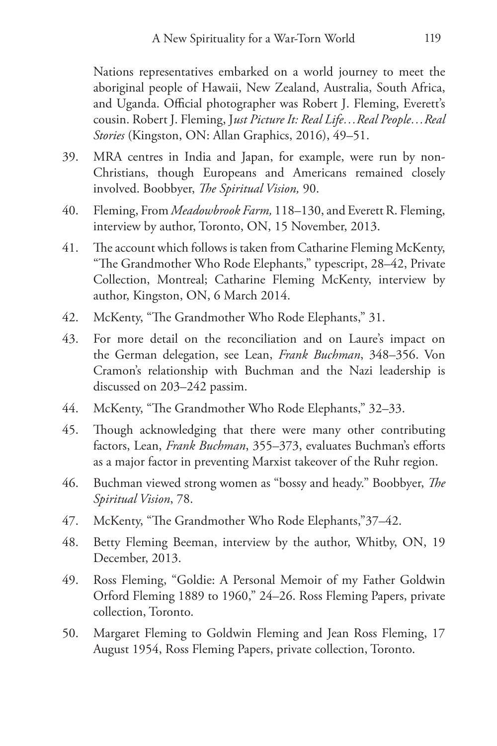Nations representatives embarked on a world journey to meet the aboriginal people of Hawaii, New Zealand, Australia, South Africa, and Uganda. Official photographer was Robert J. Fleming, Everett's cousin. Robert J. Fleming, J*ust Picture It: Real Life…Real People…Real Stories* (Kingston, ON: Allan Graphics, 2016), 49–51.

- 39. MRA centres in India and Japan, for example, were run by non-Christians, though Europeans and Americans remained closely involved. Boobbyer, *The Spiritual Vision,* 90.
- 40. Fleming, From *Meadowbrook Farm,* 118–130, and Everett R. Fleming, interview by author, Toronto, ON, 15 November, 2013.
- 41. The account which follows is taken from Catharine Fleming McKenty, "The Grandmother Who Rode Elephants," typescript, 28–42, Private Collection, Montreal; Catharine Fleming McKenty, interview by author, Kingston, ON, 6 March 2014.
- 42. McKenty, "The Grandmother Who Rode Elephants," 31.
- 43. For more detail on the reconciliation and on Laure's impact on the German delegation, see Lean, *Frank Buchman*, 348–356. Von Cramon's relationship with Buchman and the Nazi leadership is discussed on 203–242 passim.
- 44. McKenty, "The Grandmother Who Rode Elephants," 32–33.
- 45. Though acknowledging that there were many other contributing factors, Lean, *Frank Buchman*, 355–373, evaluates Buchman's efforts as a major factor in preventing Marxist takeover of the Ruhr region.
- 46. Buchman viewed strong women as "bossy and heady." Boobbyer, *The Spiritual Vision*, 78.
- 47. McKenty, "The Grandmother Who Rode Elephants,"37–42.
- 48. Betty Fleming Beeman, interview by the author, Whitby, ON, 19 December, 2013.
- 49. Ross Fleming, "Goldie: A Personal Memoir of my Father Goldwin Orford Fleming 1889 to 1960," 24–26. Ross Fleming Papers, private collection, Toronto.
- 50. Margaret Fleming to Goldwin Fleming and Jean Ross Fleming, 17 August 1954, Ross Fleming Papers, private collection, Toronto.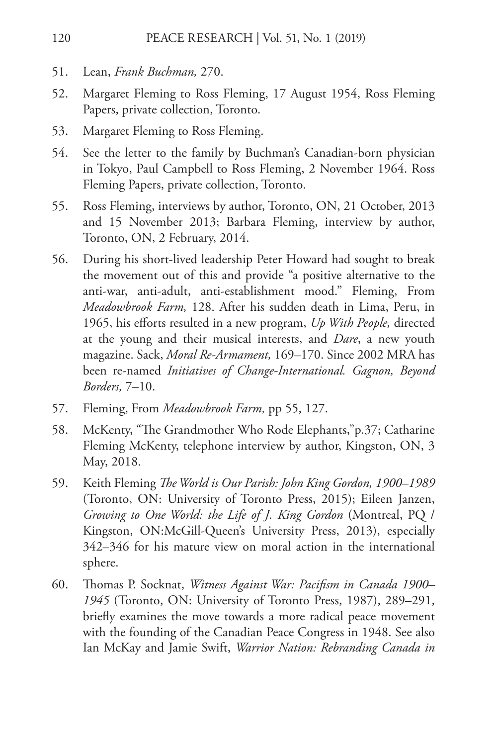- 51. Lean, *Frank Buchman,* 270.
- 52. Margaret Fleming to Ross Fleming, 17 August 1954, Ross Fleming Papers, private collection, Toronto.
- 53. Margaret Fleming to Ross Fleming.
- 54. See the letter to the family by Buchman's Canadian-born physician in Tokyo, Paul Campbell to Ross Fleming, 2 November 1964. Ross Fleming Papers, private collection, Toronto.
- 55. Ross Fleming, interviews by author, Toronto, ON, 21 October, 2013 and 15 November 2013; Barbara Fleming, interview by author, Toronto, ON, 2 February, 2014.
- 56. During his short-lived leadership Peter Howard had sought to break the movement out of this and provide "a positive alternative to the anti-war, anti-adult, anti-establishment mood." Fleming, From *Meadowbrook Farm,* 128. After his sudden death in Lima, Peru, in 1965, his efforts resulted in a new program, *Up With People,* directed at the young and their musical interests, and *Dare*, a new youth magazine. Sack, *Moral Re-Armament,* 169–170. Since 2002 MRA has been re-named *Initiatives of Change-International. Gagnon, Beyond Borders,* 7–10.
- 57. Fleming, From *Meadowbrook Farm,* pp 55, 127.
- 58. McKenty, "The Grandmother Who Rode Elephants,"p.37; Catharine Fleming McKenty, telephone interview by author, Kingston, ON, 3 May, 2018.
- 59. Keith Fleming *The World is Our Parish: John King Gordon, 1900–1989* (Toronto, ON: University of Toronto Press, 2015); Eileen Janzen, *Growing to One World: the Life of J. King Gordon* (Montreal, PQ / Kingston, ON:McGill-Queen's University Press, 2013), especially 342–346 for his mature view on moral action in the international sphere.
- 60. Thomas P. Socknat, *Witness Against War: Pacifism in Canada 1900– 1945* (Toronto, ON: University of Toronto Press, 1987), 289–291, briefly examines the move towards a more radical peace movement with the founding of the Canadian Peace Congress in 1948. See also Ian McKay and Jamie Swift, *Warrior Nation: Rebranding Canada in*